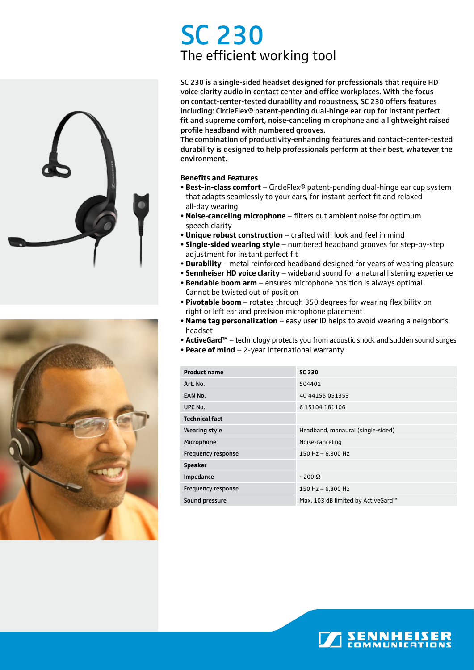# SC 230 The efficient working tool





SC 230 is a single-sided headset designed for professionals that require HD voice clarity audio in contact center and office workplaces. With the focus on contact-center-tested durability and robustness, SC 230 offers features including: CircleFlex® patent-pending dual-hinge ear cup for instant perfect fit and supreme comfort, noise-canceling microphone and a lightweight raised profile headband with numbered grooves.

The combination of productivity-enhancing features and contact-center-tested durability is designed to help professionals perform at their best, whatever the environment.

### **Benefits and Features**

- **Best-in-class comfort** CircleFlex® patent-pending dual-hinge ear cup system that adapts seamlessly to your ears, for instant perfect fit and relaxed all-day wearing
- **Noise-canceling microphone** filters out ambient noise for optimum speech clarity
- **Unique robust construction** crafted with look and feel in mind
- **Single-sided wearing style** numbered headband grooves for step-by-step adjustment for instant perfect fit
- **Durability**  metal reinforced headband designed for years of wearing pleasure
- **Sennheiser HD voice clarity** wideband sound for a natural listening experience
- **Bendable boom arm** ensures microphone position is always optimal. Cannot be twisted out of position
- **Pivotable boom** rotates through 350 degrees for wearing flexibility on right or left ear and precision microphone placement
- **Name tag personalization** easy user ID helps to avoid wearing a neighbor's headset
- **ActiveGard™** technology protects you from acoustic shock and sudden sound surges
- **Peace of mind** 2-year international warranty

| <b>Product name</b>       | <b>SC 230</b>                      |
|---------------------------|------------------------------------|
| Art. No.                  | 504401                             |
| EAN No.                   | 40 44155 051353                    |
| UPC No.                   | 615104181106                       |
| <b>Technical fact</b>     |                                    |
| Wearing style             | Headband, monaural (single-sided)  |
| Microphone                | Noise-canceling                    |
| <b>Frequency response</b> | 150 Hz $-$ 6,800 Hz                |
| <b>Speaker</b>            |                                    |
| Impedance                 | $\sim$ 200 $\Omega$                |
| <b>Frequency response</b> | 150 Hz $-$ 6,800 Hz                |
| Sound pressure            | Max. 103 dB limited by ActiveGard™ |

**SENNHEISE**